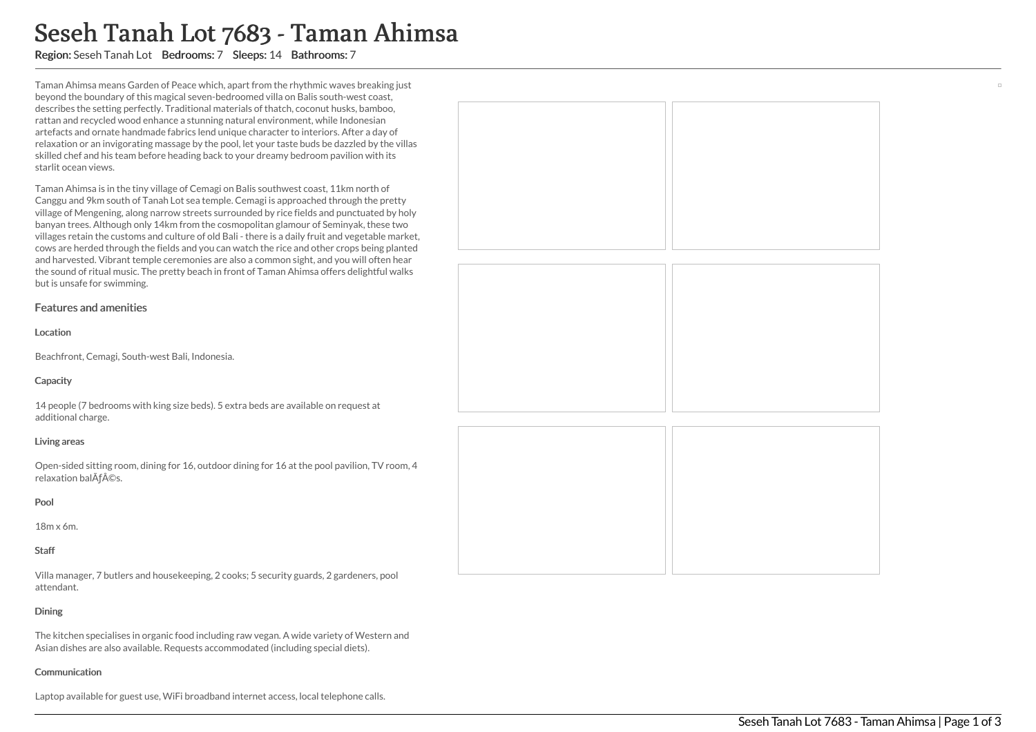# Seseh Tanah Lot 7683 - Taman Ahimsa

Region: Seseh Tanah Lot Bedrooms: 7 Sleeps: 14 Bathrooms: 7

Taman Ahimsa means Garden of Peace which, apart from the rhythmic waves breaking just beyond the boundary of this magical seven-bedroomed villa on Balis south-west coast, describes the setting perfectly. Traditional materials of thatch, coconut husks, bamboo, rattan and recycled wood enhance a stunning natural environment, while Indonesian artefacts and ornate handmade fabrics lend unique character to interiors. After a day of relaxation or an invigorating massage by the pool, let your taste buds be dazzled by the villas skilled chef and his team before heading back to your dreamy bedroom pavilion with its starlit ocean views.

Taman Ahimsa is in the tiny village of Cemagi on Balis southwest coast, 11km north of Canggu and 9km south of Tanah Lot sea temple. Cemagi is approached through the pretty village of Mengening, along narrow streets surrounded by rice fields and punctuated by holy banyan trees. Although only 14km from the cosmopolitan glamour of Seminyak, these two villages retain the customs and culture of old Bali - there is a daily fruit and vegetable market, cows are herded through the fields and you can watch the rice and other crops being planted and harvested. Vibrant temple ceremonies are also a common sight, and you will often hear the sound of ritual music. The pretty beach in front of Taman Ahimsa offers delightful walks but is unsafe for swimming.

## Features and amenities

## Location

Beachfront, Cemagi, South-west Bali, Indonesia.

# **Capacity**

14 people (7 bedrooms with king size beds). 5 extra beds are available on request at additional charge.

## Living areas

Open-sided sitting room, dining for 16, outdoor dining for 16 at the pool pavilion, TV room, 4 relaxation balÃƒ©s.

# Pool

18m x 6m.

# Staff

Villa manager, 7 butlers and housekeeping, 2 cooks; 5 security guards, 2 gardeners, pool attendant.

# Dining

The kitchen specialises in organic food including raw vegan. A wide variety of Western and Asian dishes are also available. Requests accommodated (including special diets).

## Communication

Laptop available for guest use, WiFi broadband internet access, local telephone calls.



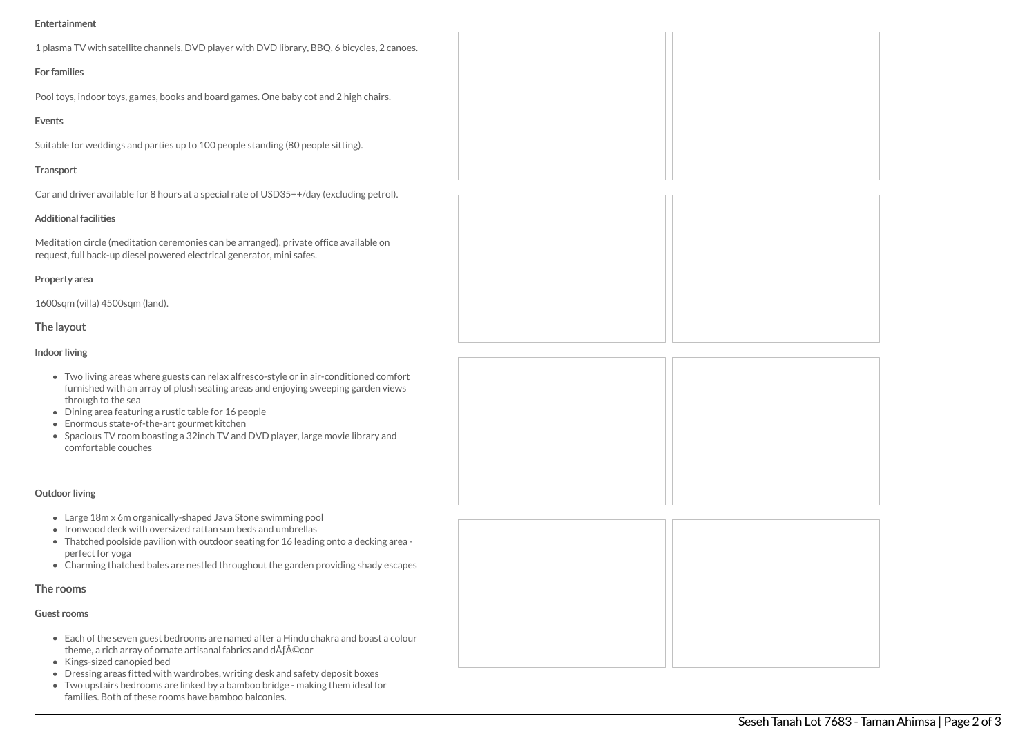# Entertainment

| 1 plasma TV with satellite channels, DVD player with DVD library, BBQ, 6 bicycles, 2 canoes. |  |
|----------------------------------------------------------------------------------------------|--|
| <b>For families</b>                                                                          |  |
| Pool toys, indoor toys, games, books and board games. One baby cot and 2 high chairs.        |  |
| Events                                                                                       |  |
| Suitable for weddings and parties up to 100 people standing (80 people sitting).             |  |
| Transport                                                                                    |  |
| Car and driver available for 8 hours at a special rate of USD35++/day (excluding petrol).    |  |

Additional facilities

Meditation circle (meditation ceremonies can be arranged), private office available on request, full back-up diesel powered electrical generator, mini safes.

#### Property area

1600sqm (villa) 4500sqm (land).

## The layout

## Indoor living

- Two living areas where guests can relax alfresco-style or in air-conditione furnished with an array of plush seating areas and enjoying sweeping gar through to the sea
- Dining area featuring a rustic table for 16 people
- Enormous state-of-the-art gourmet kitchen
- Spacious TV room boasting a 32inch TV and DVD player, large movie library comfortable couches

# Outdoor living

- Large 18m x 6m organically-shaped Java Stone swimming pool
- Ironwood deck with oversized rattan sun beds and umbrellas
- Thatched poolside pavilion with outdoor seating for 16 leading onto a decking area perfect for yoga
- Charming thatched bales are nestled throughout the garden providing shady escapes

# The rooms

## Guest rooms

- Each of the seven guest bedrooms are named after a Hindu chakra and boast a colour theme, a rich array of ornate artisanal fabrics and dÃƒ©cor
- Kings-sized canopied bed
- Dressing areas fitted with wardrobes, writing desk and safety deposit boxes
- Two upstairs bedrooms are linked by a bamboo bridge making them ideal for families. Both of these rooms have bamboo balconies.

| ed comfort<br>den views |  |  |
|-------------------------|--|--|
| ary and                 |  |  |
|                         |  |  |
|                         |  |  |